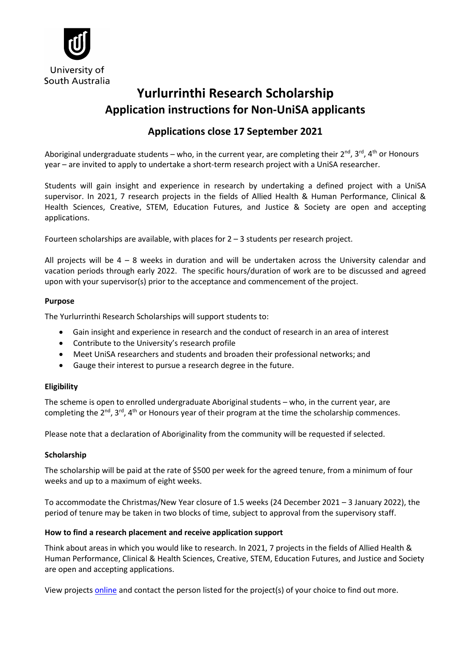

# **Yurlurrinthi Research Scholarship Application instructions for Non-UniSA applicants**

# **Applications close 17 September 2021**

Aboriginal undergraduate students – who, in the current year, are completing their  $2^{nd}$ ,  $3^{rd}$ ,  $4^{th}$  or Honours year – are invited to apply to undertake a short-term research project with a UniSA researcher.

Students will gain insight and experience in research by undertaking a defined project with a UniSA supervisor. In 2021, 7 research projects in the fields of Allied Health & Human Performance, Clinical & Health Sciences, Creative, STEM, Education Futures, and Justice & Society are open and accepting applications.

Fourteen scholarships are available, with places for  $2 - 3$  students per research project.

All projects will be  $4 - 8$  weeks in duration and will be undertaken across the University calendar and vacation periods through early 2022. The specific hours/duration of work are to be discussed and agreed upon with your supervisor(s) prior to the acceptance and commencement of the project.

# **Purpose**

The Yurlurrinthi Research Scholarships will support students to:

- Gain insight and experience in research and the conduct of research in an area of interest
- Contribute to the University's research profile
- Meet UniSA researchers and students and broaden their professional networks; and
- Gauge their interest to pursue a research degree in the future.

# **Eligibility**

The scheme is open to enrolled undergraduate Aboriginal students – who, in the current year, are completing the  $2^{nd}$ ,  $3^{rd}$ ,  $4^{th}$  or Honours year of their program at the time the scholarship commences.

Please note that a declaration of Aboriginality from the community will be requested if selected.

# **Scholarship**

The scholarship will be paid at the rate of \$500 per week for the agreed tenure, from a minimum of four weeks and up to a maximum of eight weeks.

To accommodate the Christmas/New Year closure of 1.5 weeks (24 December 2021 – 3 January 2022), the period of tenure may be taken in two blocks of time, subject to approval from the supervisory staff.

#### **How to find a research placement and receive application support**

Think about areas in which you would like to research. In 2021, 7 projects in the fields of Allied Health & Human Performance, Clinical & Health Sciences, Creative, STEM, Education Futures, and Justice and Society are open and accepting applications.

View projects [online](https://unisa.edu.au/research/degrees/scholarships/yurlurrinthi_research_scholarships/) and contact the person listed for the project(s) of your choice to find out more.